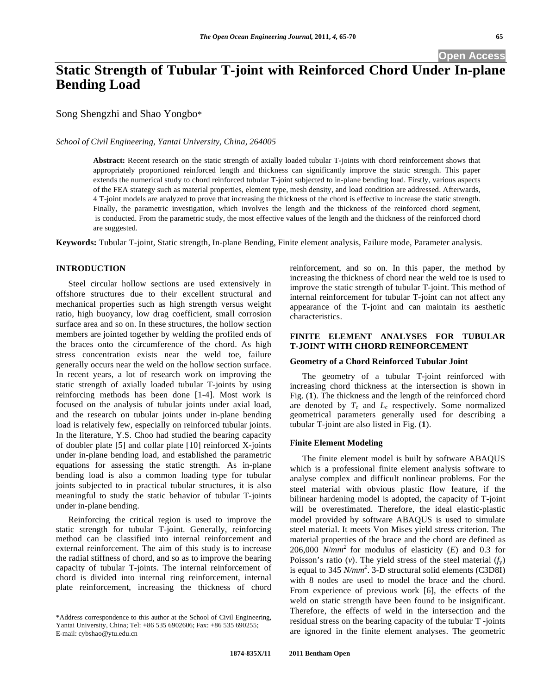**Open Access** 

# **Static Strength of Tubular T-joint with Reinforced Chord Under In-plane Bending Load**

Song Shengzhi and Shao Yongbo\*

*School of Civil Engineering, Yantai University, China, 264005* 

**Abstract:** Recent research on the static strength of axially loaded tubular T-joints with chord reinforcement shows that appropriately proportioned reinforced length and thickness can significantly improve the static strength. This paper extends the numerical study to chord reinforced tubular T-joint subjected to in-plane bending load. Firstly, various aspects of the FEA strategy such as material properties, element type, mesh density, and load condition are addressed. Afterwards, 4 T-joint models are analyzed to prove that increasing the thickness of the chord is effective to increase the static strength. Finally, the parametric investigation, which involves the length and the thickness of the reinforced chord segment, is conducted. From the parametric study, the most effective values of the length and the thickness of the reinforced chord are suggested.

**Keywords:** Tubular T-joint, Static strength, In-plane Bending, Finite element analysis, Failure mode, Parameter analysis.

# **INTRODUCTION**

Steel circular hollow sections are used extensively in offshore structures due to their excellent structural and mechanical properties such as high strength versus weight ratio, high buoyancy, low drag coefficient, small corrosion surface area and so on. In these structures, the hollow section members are jointed together by welding the profiled ends of the braces onto the circumference of the chord. As high stress concentration exists near the weld toe, failure generally occurs near the weld on the hollow section surface. In recent years, a lot of research work on improving the static strength of axially loaded tubular T-joints by using reinforcing methods has been done [1-4]. Most work is focused on the analysis of tubular joints under axial load, and the research on tubular joints under in-plane bending load is relatively few, especially on reinforced tubular joints. In the literature, Y.S. Choo had studied the bearing capacity of doubler plate [5] and collar plate [10] reinforced X-joints under in-plane bending load, and established the parametric equations for assessing the static strength. As in-plane bending load is also a common loading type for tubular joints subjected to in practical tubular structures, it is also meaningful to study the static behavior of tubular T-joints under in-plane bending.

Reinforcing the critical region is used to improve the static strength for tubular T-joint. Generally, reinforcing method can be classified into internal reinforcement and external reinforcement. The aim of this study is to increase the radial stiffness of chord, and so as to improve the bearing capacity of tubular T-joints. The internal reinforcement of chord is divided into internal ring reinforcement, internal plate reinforcement, increasing the thickness of chord reinforcement, and so on. In this paper, the method by increasing the thickness of chord near the weld toe is used to improve the static strength of tubular T-joint. This method of internal reinforcement for tubular T-joint can not affect any appearance of the T-joint and can maintain its aesthetic characteristics.

# **FINITE ELEMENT ANALYSES FOR TUBULAR T-JOINT WITH CHORD REINFORCEMENT**

# **Geometry of a Chord Reinforced Tubular Joint**

The geometry of a tubular T-joint reinforced with increasing chord thickness at the intersection is shown in Fig. (**1**). The thickness and the length of the reinforced chord are denoted by  $T_c$  and  $L_c$  respectively. Some normalized geometrical parameters generally used for describing a tubular T-joint are also listed in Fig. (**1**).

# **Finite Element Modeling**

The finite element model is built by software ABAQUS which is a professional finite element analysis software to analyse complex and difficult nonlinear problems. For the steel material with obvious plastic flow feature, if the bilinear hardening model is adopted, the capacity of T-joint will be overestimated. Therefore, the ideal elastic-plastic model provided by software ABAQUS is used to simulate steel material. It meets Von Mises yield stress criterion. The material properties of the brace and the chord are defined as 206,000  $N/mm^2$  for modulus of elasticity (*E*) and 0.3 for Poisson's ratio (*v*). The yield stress of the steel material  $(f_v)$ is equal to 345 *N/mm<sup>2</sup>* . 3-D structural solid elements (C3D8I) with 8 nodes are used to model the brace and the chord. From experience of previous work [6], the effects of the weld on static strength have been found to be insignificant. Therefore, the effects of weld in the intersection and the residual stress on the bearing capacity of the tubular T -joints are ignored in the finite element analyses. The geometric

<sup>\*</sup>Address correspondence to this author at the School of Civil Engineering, Yantai University, China; Tel: +86 535 6902606; Fax: +86 535 690255; E-mail: cybshao@ytu.edu.cn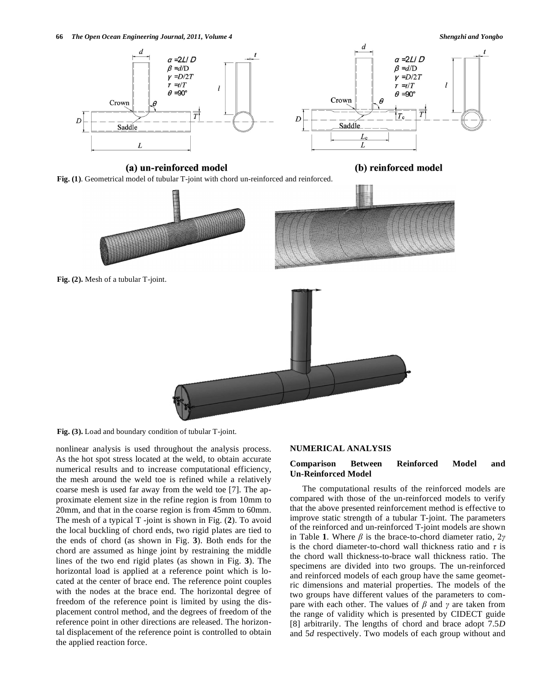

(a) un-reinforced model **Fig. (1)**. Geometrical model of tubular T-joint with chord un-reinforced and reinforced.



**Fig. (3).** Load and boundary condition of tubular T-joint.

nonlinear analysis is used throughout the analysis process. As the hot spot stress located at the weld, to obtain accurate numerical results and to increase computational efficiency, the mesh around the weld toe is refined while a relatively coarse mesh is used far away from the weld toe [7]. The approximate element size in the refine region is from 10mm to 20mm, and that in the coarse region is from 45mm to 60mm. The mesh of a typical T -joint is shown in Fig. (**2**). To avoid the local buckling of chord ends, two rigid plates are tied to the ends of chord (as shown in Fig. **3**). Both ends for the chord are assumed as hinge joint by restraining the middle lines of the two end rigid plates (as shown in Fig. **3**). The horizontal load is applied at a reference point which is located at the center of brace end. The reference point couples with the nodes at the brace end. The horizontal degree of freedom of the reference point is limited by using the displacement control method, and the degrees of freedom of the reference point in other directions are released. The horizontal displacement of the reference point is controlled to obtain the applied reaction force.

# **NUMERICAL ANALYSIS**

# **Comparison Between Reinforced Model and Un-Reinforced Model**

(b) reinforced model

The computational results of the reinforced models are compared with those of the un-reinforced models to verify that the above presented reinforcement method is effective to improve static strength of a tubular T-joint. The parameters of the reinforced and un-reinforced T-joint models are shown in Table 1. Where  $\beta$  is the brace-to-chord diameter ratio,  $2\gamma$ is the chord diameter-to-chord wall thickness ratio and  $\tau$  is the chord wall thickness-to-brace wall thickness ratio. The specimens are divided into two groups. The un-reinforced and reinforced models of each group have the same geometric dimensions and material properties. The models of the two groups have different values of the parameters to compare with each other. The values of  $\beta$  and  $\gamma$  are taken from the range of validity which is presented by CIDECT guide [8] arbitrarily. The lengths of chord and brace adopt 7.5*D* and 5*d* respectively. Two models of each group without and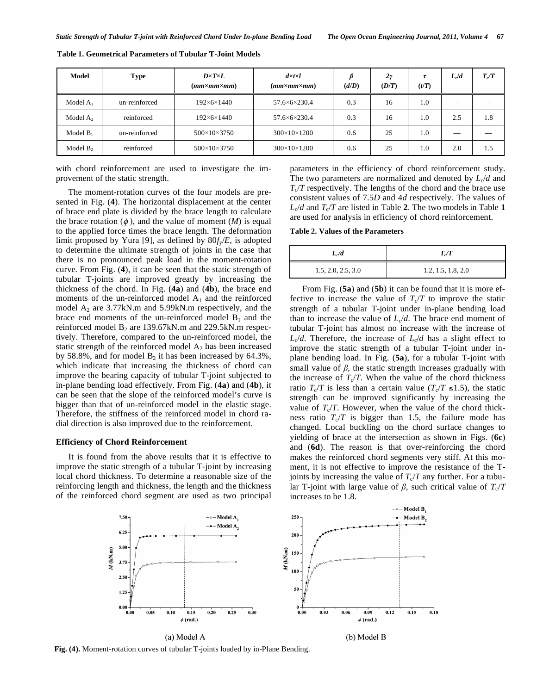| Model       | Type          | $D \times T \times L$<br>$(mm \times mm \times mm)$ | $d \times t \times l$<br>$(mm \times mm \times mm)$ | (d/D) | $2\gamma$<br>(D/T) | (t/T) | L <sub>c</sub> /d | $T_c/T$ |
|-------------|---------------|-----------------------------------------------------|-----------------------------------------------------|-------|--------------------|-------|-------------------|---------|
| Model $A_1$ | un-reinforced | $192 \times 6 \times 1440$                          | $57.6 \times 6 \times 230.4$                        | 0.3   | 16                 | 1.0   |                   |         |
| Model $A2$  | reinforced    | $192 \times 6 \times 1440$                          | $57.6 \times 6 \times 230.4$                        | 0.3   | 16                 | 1.0   | 2.5               | 1.8     |
| Model $B_1$ | un-reinforced | $500 \times 10 \times 3750$                         | $300 \times 10 \times 1200$                         | 0.6   | 25                 | 1.0   |                   |         |
| Model $B_2$ | reinforced    | $500 \times 10 \times 3750$                         | $300 \times 10 \times 1200$                         | 0.6   | 25                 | 1.0   | 2.0               | 1.5     |

**Table 1. Geometrical Parameters of Tubular T-Joint Models** 

with chord reinforcement are used to investigate the improvement of the static strength.

The moment-rotation curves of the four models are presented in Fig. (**4**). The horizontal displacement at the center of brace end plate is divided by the brace length to calculate the brace rotation  $(\phi)$ , and the value of moment  $(M)$  is equal to the applied force times the brace length. The deformation limit proposed by Yura [9], as defined by 80*f*y/*E*, is adopted to determine the ultimate strength of joints in the case that there is no pronounced peak load in the moment-rotation curve. From Fig. (**4**), it can be seen that the static strength of tubular T-joints are improved greatly by increasing the thickness of the chord. In Fig. (**4a**) and (**4b**), the brace end moments of the un-reinforced model  $A_1$  and the reinforced model  $A_2$  are 3.77kN.m and 5.99kN.m respectively, and the brace end moments of the un-reinforced model  $B_1$  and the reinforced model B<sub>2</sub> are 139.67kN.m and 229.5kN.m respectively. Therefore, compared to the un-reinforced model, the static strength of the reinforced model  $A_2$  has been increased by 58.8%, and for model  $B_2$  it has been increased by 64.3%, which indicate that increasing the thickness of chord can improve the bearing capacity of tubular T-joint subjected to in-plane bending load effectively. From Fig. (**4a**) and (**4b**), it can be seen that the slope of the reinforced model's curve is bigger than that of un-reinforced model in the elastic stage. Therefore, the stiffness of the reinforced model in chord radial direction is also improved due to the reinforcement.

# **Efficiency of Chord Reinforcement**

It is found from the above results that it is effective to improve the static strength of a tubular T-joint by increasing local chord thickness. To determine a reasonable size of the reinforcing length and thickness, the length and the thickness of the reinforced chord segment are used as two principal parameters in the efficiency of chord reinforcement study. The two parameters are normalized and denoted by  $L_c/d$  and  $T_c/T$  respectively. The lengths of the chord and the brace use consistent values of 7.5*D* and 4*d* respectively. The values of  $L_c/d$  and  $T_c/T$  are listed in Table 2. The two models in Table 1 are used for analysis in efficiency of chord reinforcement.

### **Table 2. Values of the Parameters**

| L/d                | T/T                |
|--------------------|--------------------|
| 1.5, 2.0, 2.5, 3.0 | 1.2, 1.5, 1.8, 2.0 |

From Fig. (**5a**) and (**5b**) it can be found that it is more effective to increase the value of  $T_c/T$  to improve the static strength of a tubular T-joint under in-plane bending load than to increase the value of  $L<sub>c</sub>/d$ . The brace end moment of tubular T-joint has almost no increase with the increase of  $L<sub>c</sub>/d$ . Therefore, the increase of  $L<sub>c</sub>/d$  has a slight effect to improve the static strength of a tubular T-joint under inplane bending load. In Fig. (**5a**), for a tubular T-joint with small value of  $\beta$ , the static strength increases gradually with the increase of  $T_c/T$ . When the value of the chord thickness ratio  $T_c/T$  is less than a certain value  $(T_c/T \le 1.5)$ , the static strength can be improved significantly by increasing the value of  $T_c/T$ . However, when the value of the chord thickness ratio  $T_c/T$  is bigger than 1.5, the failure mode has changed. Local buckling on the chord surface changes to yielding of brace at the intersection as shown in Figs. (**6c**) and (**6d**). The reason is that over-reinforcing the chord makes the reinforced chord segments very stiff. At this moment, it is not effective to improve the resistance of the Tjoints by increasing the value of  $T_c/T$  any further. For a tubular T-joint with large value of  $\beta$ , such critical value of  $T_c/T$ increases to be 1.8.



**Fig. (4).** Moment-rotation curves of tubular T-joints loaded by in-Plane Bending.

(b) Model B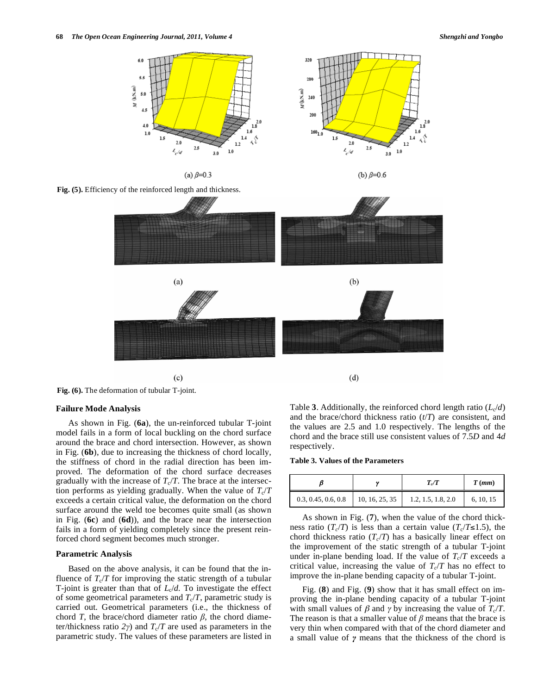

Fig. (5). Efficiency of the reinforced length and thickness.

**Fig. (6).** The deformation of tubular T-joint.

### **Failure Mode Analysis**

As shown in Fig. (**6a**), the un-reinforced tubular T-joint model fails in a form of local buckling on the chord surface around the brace and chord intersection. However, as shown in Fig. (**6b**), due to increasing the thickness of chord locally, the stiffness of chord in the radial direction has been improved. The deformation of the chord surface decreases gradually with the increase of  $T_c/T$ . The brace at the intersection performs as yielding gradually. When the value of  $T_c/T$ exceeds a certain critical value, the deformation on the chord surface around the weld toe becomes quite small (as shown in Fig. (**6c**) and (**6d**)), and the brace near the intersection fails in a form of yielding completely since the present reinforced chord segment becomes much stronger.

#### **Parametric Analysis**

Based on the above analysis, it can be found that the influence of  $T_c/T$  for improving the static strength of a tubular T-joint is greater than that of  $L<sub>c</sub>/d$ . To investigate the effect of some geometrical parameters and  $T_c/T$ , parametric study is carried out. Geometrical parameters (i.e., the thickness of chord *T*, the brace/chord diameter ratio  $\beta$ , the chord diameter/thickness ratio  $2\gamma$ ) and  $T_c/T$  are used as parameters in the parametric study. The values of these parameters are listed in

Table **3**. Additionally, the reinforced chord length ratio  $(L_c/d)$ and the brace/chord thickness ratio (*t*/*T*) are consistent, and the values are 2.5 and 1.0 respectively. The lengths of the chord and the brace still use consistent values of 7.5*D* and 4*d* respectively.

### **Table 3. Values of the Parameters**

|                     |                | T/T                | T(mm)     |
|---------------------|----------------|--------------------|-----------|
| 0.3, 0.45, 0.6, 0.8 | 10, 16, 25, 35 | 1.2, 1.5, 1.8, 2.0 | 6, 10, 15 |

As shown in Fig. (**7**), when the value of the chord thickness ratio  $(T_c/T)$  is less than a certain value  $(T_c/T \le 1.5)$ , the chord thickness ratio  $(T_c/T)$  has a basically linear effect on the improvement of the static strength of a tubular T-joint under in-plane bending load. If the value of  $T_c/T$  exceeds a critical value, increasing the value of  $T_c/T$  has no effect to improve the in-plane bending capacity of a tubular T-joint.

Fig. (**8**) and Fig. (**9**) show that it has small effect on improving the in-plane bending capacity of a tubular T-joint with small values of  $\beta$  and  $\gamma$  by increasing the value of  $T_c/T$ . The reason is that a smaller value of  $\beta$  means that the brace is very thin when compared with that of the chord diameter and a small value of  $\gamma$  means that the thickness of the chord is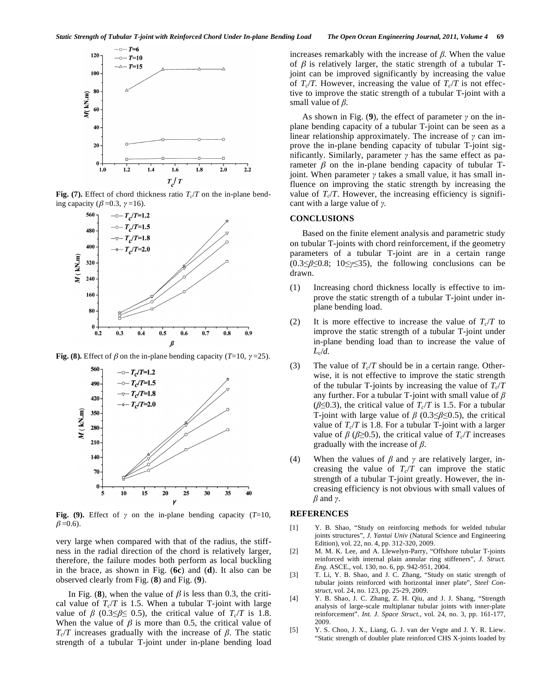

**Fig. (7).** Effect of chord thickness ratio  $T_c/T$  on the in-plane bending capacity ( $\beta = 0.3$ ,  $\gamma = 16$ ).



Fig. (8). Effect of  $\beta$  on the in-plane bending capacity (*T*=10,  $\gamma$ =25).



**Fig.** (9). Effect of  $\gamma$  on the in-plane bending capacity (*T*=10,  $\beta$ =0.6).

very large when compared with that of the radius, the stiffness in the radial direction of the chord is relatively larger, therefore, the failure modes both perform as local buckling in the brace, as shown in Fig. (**6c**) and (**d**). It also can be observed clearly from Fig. (**8**) and Fig. (**9**).

In Fig. (8), when the value of  $\beta$  is less than 0.3, the critical value of  $T_c/T$  is 1.5. When a tubular T-joint with large value of  $\beta$  (0.3 \less 0.5), the critical value of  $T_c/T$  is 1.8. When the value of  $\beta$  is more than 0.5, the critical value of  $T_c/T$  increases gradually with the increase of  $\beta$ . The static strength of a tubular T-joint under in-plane bending load increases remarkably with the increase of  $\beta$ . When the value of  $\beta$  is relatively larger, the static strength of a tubular Tjoint can be improved significantly by increasing the value of  $T_c/T$ . However, increasing the value of  $T_c/T$  is not effective to improve the static strength of a tubular T-joint with a small value of  $\beta$ .

As shown in Fig.  $(9)$ , the effect of parameter  $\gamma$  on the inplane bending capacity of a tubular T-joint can be seen as a linear relationship approximately. The increase of  $\gamma$  can improve the in-plane bending capacity of tubular T-joint significantly. Similarly, parameter  $\gamma$  has the same effect as parameter  $\beta$  on the in-plane bending capacity of tubular Tjoint. When parameter *y* takes a small value, it has small influence on improving the static strength by increasing the value of  $T/T$ . However, the increasing efficiency is significant with a large value of *γ*.

# **CONCLUSIONS**

Based on the finite element analysis and parametric study on tubular T-joints with chord reinforcement, if the geometry parameters of a tubular T-joint are in a certain range  $(0.3 \leq \beta \leq 0.8; 10 \leq \gamma \leq 35)$ , the following conclusions can be drawn.

- (1) Increasing chord thickness locally is effective to improve the static strength of a tubular T-joint under inplane bending load.
- (2) It is more effective to increase the value of  $T_c/T$  to improve the static strength of a tubular T-joint under in-plane bending load than to increase the value of  $L_c/d$ .
- (3) The value of  $T_c/T$  should be in a certain range. Otherwise, it is not effective to improve the static strength of the tubular T-joints by increasing the value of  $T_c/T$ any further. For a tubular T-joint with small value of  $\beta$ ( $\beta \le 0.3$ ), the critical value of  $T_c/T$  is 1.5. For a tubular T-joint with large value of  $\beta$  (0.3 $\leq \beta \leq 0.5$ ), the critical value of  $T/T$  is 1.8. For a tubular T-joint with a larger value of  $\beta$  ( $\beta \ge 0.5$ ), the critical value of  $T_c/T$  increases gradually with the increase of  $\beta$ .
- (4) When the values of  $\beta$  and  $\gamma$  are relatively larger, increasing the value of  $T_c/T$  can improve the static strength of a tubular T-joint greatly. However, the increasing efficiency is not obvious with small values of  $\beta$  and  $\gamma$ .

#### **REFERENCES**

- [1] Y. B. Shao, "Study on reinforcing methods for welded tubular joints structures", *J. Yantai Univ* (Natural Science and Engineering Edition), vol. 22, no. 4, pp. 312-320, 2009.
- [2] M. M. K. Lee, and A. Llewelyn-Parry, "Offshore tubular T-joints reinforced with internal plain annular ring stiffeners", *J. Struct. Eng.* ASCE., vol. 130, no. 6, pp. 942-951, 2004.
- [3] T. Li, Y. B. Shao, and J. C. Zhang, "Study on static strength of tubular joints reinforced with horizontal inner plate", *Steel Construct,* vol. 24, no. 123, pp. 25-29, 2009.
- [4] Y. B. Shao, J. C. Zhang, Z. H. Qiu, and J. J. Shang, "Strength analysis of large-scale multiplanar tubular joints with inner-plate reinforcement". *Int. J. Space Struct.*, vol. 24, no. 3, pp. 161-177, 2009.
- [5] Y. S. Choo, J. X., Liang, G. J. van der Vegte and J. Y. R. Liew. "Static strength of doubler plate reinforced CHS X-joints loaded by